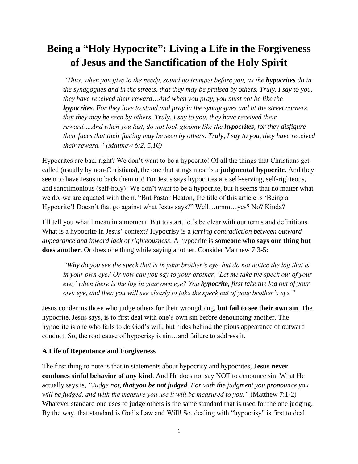# **Being a "Holy Hypocrite": Living a Life in the Forgiveness of Jesus and the Sanctification of the Holy Spirit**

*"Thus, when you give to the needy, sound no trumpet before you, as the <i>hypocrites* do in *the synagogues and in the streets, that they may be praised by others. Truly, I say to you, they have received their reward…And when you pray, you must not be like the hypocrites. For they love to stand and pray in the synagogues and at the street corners, that they may be seen by others. Truly, I say to you, they have received their reward.…And when you fast, do not look gloomy like the hypocrites, for they disfigure their faces that their fasting may be seen by others. Truly, I say to you, they have received their reward." (Matthew 6:2, 5,16)*

Hypocrites are bad, right? We don't want to be a hypocrite! Of all the things that Christians get called (usually by non-Christians), the one that stings most is a **judgmental hypocrite**. And they seem to have Jesus to back them up! For Jesus says hypocrites are self-serving, self-righteous, and sanctimonious (self-holy)! We don't want to be a hypocrite, but it seems that no matter what we do, we are equated with them. "But Pastor Heaton, the title of this article is 'Being a Hypocrite'! Doesn't that go against what Jesus says?" Well…umm…yes? No? Kinda?

I'll tell you what I mean in a moment. But to start, let's be clear with our terms and definitions. What is a hypocrite in Jesus' context? Hypocrisy is a *jarring contradiction between outward appearance and inward lack of righteousness*. A hypocrite is **someone who says one thing but does another**. Or does one thing while saying another. Consider Matthew 7:3-5:

*"Why do you see the speck that is in your brother's eye, but do not notice the log that is in your own eye? Or how can you say to your brother, 'Let me take the speck out of your eye,' when there is the log in your own eye? You hypocrite, first take the log out of your own eye, and then you will see clearly to take the speck out of your brother's eye."*

Jesus condemns those who judge others for their wrongdoing, **but fail to see their own sin**. The hypocrite, Jesus says, is to first deal with one's own sin before denouncing another. The hypocrite is one who fails to do God's will, but hides behind the pious appearance of outward conduct. So, the root cause of hypocrisy is sin…and failure to address it.

### **A Life of Repentance and Forgiveness**

The first thing to note is that in statements about hypocrisy and hypocrites, **Jesus never condones sinful behavior of any kind**. And He does not say NOT to denounce sin. What He actually says is, *"Judge not, that you be not judged. For with the judgment you pronounce you will be judged, and with the measure you use it will be measured to you."* (Matthew 7:1-2) Whatever standard one uses to judge others is the same standard that is used for the one judging. By the way, that standard is God's Law and Will! So, dealing with "hypocrisy" is first to deal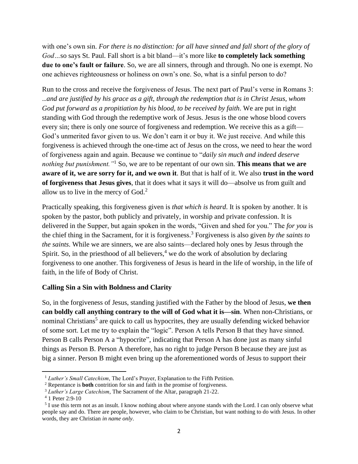with one's own sin. *For there is no distinction: for all have sinned and fall short of the glory of God…*so says St. Paul. Fall short is a bit bland—it's more like **to completely lack something due to one's fault or failure**. So, we are all sinners, through and through. No one is exempt. No one achieves righteousness or holiness on own's one. So, what is a sinful person to do?

Run to the cross and receive the forgiveness of Jesus. The next part of Paul's verse in Romans 3: …*and are justified by his grace as a gift, through the redemption that is in Christ Jesus, whom God put forward as a propitiation by his blood, to be received by faith*. We are put in right standing with God through the redemptive work of Jesus. Jesus is the one whose blood covers every sin; there is only one source of forgiveness and redemption. We receive this as a gift— God's unmerited favor given to us. We don't earn it or buy it. We just receive. And while this forgiveness is achieved through the one-time act of Jesus on the cross, we need to hear the word of forgiveness again and again. Because we continue to "*daily sin much and indeed deserve nothing but punishment."*<sup>1</sup> So, we are to be repentant of our own sin. **This means that we are aware of it, we are sorry for it, and we own it**. But that is half of it. We also **trust in the word of forgiveness that Jesus gives**, that it does what it says it will do—absolve us from guilt and allow us to live in the mercy of  $God.<sup>2</sup>$ 

Practically speaking, this forgiveness given is *that which is heard*. It is spoken by another. It is spoken by the pastor, both publicly and privately, in worship and private confession. It is delivered in the Supper, but again spoken in the words, "Given and shed for you." The *for you* is the chief thing in the Sacrament, for it is forgiveness.<sup>3</sup> Forgiveness is also given *by the saints to the saints*. While we are sinners, we are also saints—declared holy ones by Jesus through the Spirit. So, in the priesthood of all believers,  $4$  we do the work of absolution by declaring forgiveness to one another. This forgiveness of Jesus is heard in the life of worship, in the life of faith, in the life of Body of Christ.

## **Calling Sin a Sin with Boldness and Clarity**

So, in the forgiveness of Jesus, standing justified with the Father by the blood of Jesus, **we then can boldly call anything contrary to the will of God what it is—sin**. When non-Christians, or nominal Christians<sup>5</sup> are quick to call us hypocrites, they are usually defending wicked behavior of some sort. Let me try to explain the "logic". Person A tells Person B that they have sinned. Person B calls Person A a "hypocrite", indicating that Person A has done just as many sinful things as Person B. Person A therefore, has no right to judge Person B because they are just as big a sinner. Person B might even bring up the aforementioned words of Jesus to support their

<sup>&</sup>lt;sup>1</sup> *Luther's Small Catechism*, The Lord's Prayer, Explanation to the Fifth Petition.

<sup>2</sup> Repentance is **both** contrition for sin and faith in the promise of forgiveness.

<sup>3</sup> *Luther's Large Catechism*, The Sacrament of the Altar, paragraph 21-22.

 $4$  1 Peter 2:9-10

<sup>&</sup>lt;sup>5</sup> I use this term not as an insult. I know nothing about where anyone stands with the Lord. I can only observe what people say and do. There are people, however, who claim to be Christian, but want nothing to do with Jesus. In other words, they are Christian *in name only*.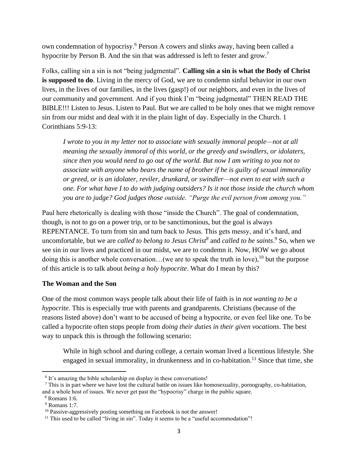own condemnation of hypocrisy.<sup>6</sup> Person A cowers and slinks away, having been called a hypocrite by Person B. And the sin that was addressed is left to fester and grow.<sup>7</sup>

Folks, calling sin a sin is not "being judgmental". **Calling sin a sin is what the Body of Christ is supposed to do**. Living in the mercy of God, we are to condemn sinful behavior in our own lives, in the lives of our families, in the lives (gasp!) of our neighbors, and even in the lives of our community and government. And if you think I'm "being judgmental" THEN READ THE BIBLE!!! Listen to Jesus. Listen to Paul. But we are called to be holy ones that we might remove sin from our midst and deal with it in the plain light of day. Especially in the Church. 1 Corinthians 5:9-13:

*I wrote to you in my letter not to associate with sexually immoral people—not at all meaning the sexually immoral of this world, or the greedy and swindlers, or idolaters, since then you would need to go out of the world. But now I am writing to you not to associate with anyone who bears the name of brother if he is guilty of sexual immorality or greed, or is an idolater, reviler, drunkard, or swindler—not even to eat with such a one. For what have I to do with judging outsiders? Is it not those inside the church whom you are to judge? God judges those outside. "Purge the evil person from among you."*

Paul here rhetorically is dealing with those "inside the Church". The goal of condemnation, though, is not to go on a power trip, or to be sanctimonious, but the goal is always REPENTANCE. To turn from sin and turn back to Jesus. This gets messy, and it's hard, and uncomfortable, but we are *called to belong to Jesus Christ<sup>8</sup>* and *called to be saints*. <sup>9</sup> So, when we see sin in our lives and practiced in our midst, we are to condemn it. Now, HOW we go about doing this is another whole conversation...(we are to speak the truth in love), <sup>10</sup> but the purpose of this article is to talk about *being a holy hypocrite*. What do I mean by this?

### **The Woman and the Son**

One of the most common ways people talk about their life of faith is in *not wanting to be a hypocrite*. This is especially true with parents and grandparents. Christians (because of the reasons listed above) don't want to be accused of being a hypocrite, or even feel like one. To be called a hypocrite often stops people from *doing their duties in their given vocations*. The best way to unpack this is through the following scenario:

While in high school and during college, a certain woman lived a licentious lifestyle. She engaged in sexual immorality, in drunkenness and in co-habitation.<sup>11</sup> Since that time, she

<sup>&</sup>lt;sup>6</sup> It's amazing the bible scholarship on display in these conversations!

 $^7$  This is in part where we have lost the cultural battle on issues like homosexuality, pornography, co-habitation, and a whole host of issues. We never get past the "hypocrisy" charge in the public square.

<sup>8</sup> Romans 1:6.

<sup>9</sup> Romans 1:7.

<sup>&</sup>lt;sup>10</sup> Passive-aggressively posting something on Facebook is not the answer!

<sup>&</sup>lt;sup>11</sup> This used to be called "living in sin". Today it seems to be a "useful accommodation"!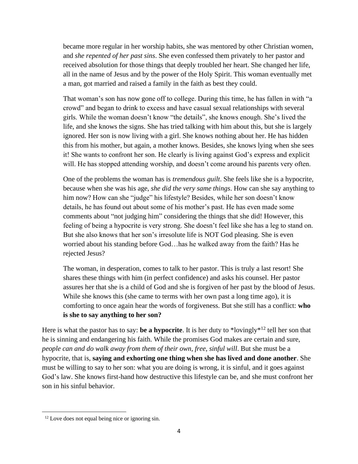became more regular in her worship habits, she was mentored by other Christian women, and *she repented of her past sins*. She even confessed them privately to her pastor and received absolution for those things that deeply troubled her heart. She changed her life, all in the name of Jesus and by the power of the Holy Spirit. This woman eventually met a man, got married and raised a family in the faith as best they could.

That woman's son has now gone off to college. During this time, he has fallen in with "a crowd" and began to drink to excess and have casual sexual relationships with several girls. While the woman doesn't know "the details", she knows enough. She's lived the life, and she knows the signs. She has tried talking with him about this, but she is largely ignored. Her son is now living with a girl. She knows nothing about her. He has hidden this from his mother, but again, a mother knows. Besides, she knows lying when she sees it! She wants to confront her son. He clearly is living against God's express and explicit will. He has stopped attending worship, and doesn't come around his parents very often.

One of the problems the woman has is *tremendous guilt*. She feels like she is a hypocrite, because when she was his age, *she did the very same things*. How can she say anything to him now? How can she "judge" his lifestyle? Besides, while her son doesn't know details, he has found out about some of his mother's past. He has even made some comments about "not judging him" considering the things that she did! However, this feeling of being a hypocrite is very strong. She doesn't feel like she has a leg to stand on. But she also knows that her son's irresolute life is NOT God pleasing. She is even worried about his standing before God…has he walked away from the faith? Has he rejected Jesus?

The woman, in desperation, comes to talk to her pastor. This is truly a last resort! She shares these things with him (in perfect confidence) and asks his counsel. Her pastor assures her that she is a child of God and she is forgiven of her past by the blood of Jesus. While she knows this (she came to terms with her own past a long time ago), it is comforting to once again hear the words of forgiveness. But she still has a conflict: **who is she to say anything to her son?**

Here is what the pastor has to say: **be a hypocrite**. It is her duty to \*lovingly\* <sup>12</sup> tell her son that he is sinning and endangering his faith. While the promises God makes are certain and sure, *people can and do walk away from them of their own, free, sinful will*. But she must be a hypocrite, that is, **saying and exhorting one thing when she has lived and done another**. She must be willing to say to her son: what you are doing is wrong, it is sinful, and it goes against God's law. She knows first-hand how destructive this lifestyle can be, and she must confront her son in his sinful behavior.

<sup>&</sup>lt;sup>12</sup> Love does not equal being nice or ignoring sin.